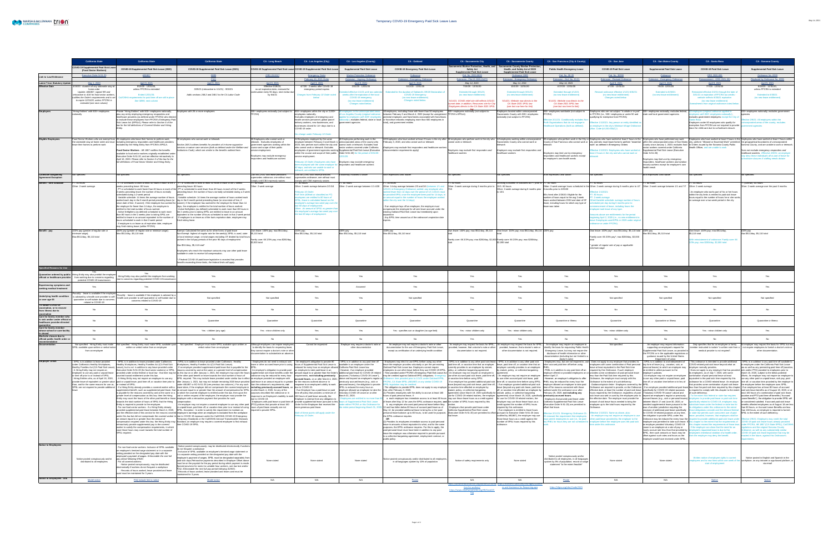|                                                                                                          | <b>California State</b>                                                                                                            | <b>California State</b>                                                                                                                                                                                                                      | <b>California State</b>                                                                                                                                                                                                                                                                                                                                                                                                                                                     | <b>CA - Long Beach</b>                                                                                                                                                           | <b>CA - Los Angeles (City)</b>                                                                                                                                                                                                                                                                        | <b>CA - Los Angeles (County)</b>                                                                                              | <b>CA - Oakland</b>                                                                                                                                                                                                                                                                | <b>CA - Sacramento City</b>                                                                                                                       | <b>CA - Sacramento County</b>                                                                                                                                                                     | <b>CA - San Francisco (City &amp; County)</b>                                                                                                                                                                                                        | <b>CA - San Jose</b>                                                                                                                                                                                                                                                                                                           | <b>CA - San Mateo County</b>                                                                                                                                                                                                            | <b>CA - Santa Rosa</b>                                                                                                                                                                                                                                               | <b>CA - Sonoma County</b>                                                                                                                                                                                                                 |
|----------------------------------------------------------------------------------------------------------|------------------------------------------------------------------------------------------------------------------------------------|----------------------------------------------------------------------------------------------------------------------------------------------------------------------------------------------------------------------------------------------|-----------------------------------------------------------------------------------------------------------------------------------------------------------------------------------------------------------------------------------------------------------------------------------------------------------------------------------------------------------------------------------------------------------------------------------------------------------------------------|----------------------------------------------------------------------------------------------------------------------------------------------------------------------------------|-------------------------------------------------------------------------------------------------------------------------------------------------------------------------------------------------------------------------------------------------------------------------------------------------------|-------------------------------------------------------------------------------------------------------------------------------|------------------------------------------------------------------------------------------------------------------------------------------------------------------------------------------------------------------------------------------------------------------------------------|---------------------------------------------------------------------------------------------------------------------------------------------------|---------------------------------------------------------------------------------------------------------------------------------------------------------------------------------------------------|------------------------------------------------------------------------------------------------------------------------------------------------------------------------------------------------------------------------------------------------------|--------------------------------------------------------------------------------------------------------------------------------------------------------------------------------------------------------------------------------------------------------------------------------------------------------------------------------|-----------------------------------------------------------------------------------------------------------------------------------------------------------------------------------------------------------------------------------------|----------------------------------------------------------------------------------------------------------------------------------------------------------------------------------------------------------------------------------------------------------------------|-------------------------------------------------------------------------------------------------------------------------------------------------------------------------------------------------------------------------------------------|
|                                                                                                          | <b>COVID-19 Supplemental Paid Sick Leav</b><br>(Food Sector Workers)                                                               | <b>COVID-19 Supplemental Paid Sick Leave (2020)</b>                                                                                                                                                                                          | <b>COVID-19 Supplemental Paid Sick Leave (2021)</b>                                                                                                                                                                                                                                                                                                                                                                                                                         |                                                                                                                                                                                  | COVID-19 Supplemental Paid Sick Leave COVID-19 Supplemental Paid Sick Leave                                                                                                                                                                                                                           | pplemental Paid Sick Leave                                                                                                    | <b>COVID-19 Emergency Paid Sick Leave</b>                                                                                                                                                                                                                                          | Sacramento Worker Protection, Health, and<br><b>Safety Act</b><br><b>Supplemental Paid Sick Leave</b>                                             | <b>Cramento County Worker Protection.</b><br>Health, and Safety Act of 2020<br><b>Supplemental Paid Sick Leave</b>                                                                                | <b>Public Health Emergency Leave</b>                                                                                                                                                                                                                 | <b>COVID-19 Paid Sick Leave</b>                                                                                                                                                                                                                                                                                                | <b>Supplemental Paid Sick Leave</b>                                                                                                                                                                                                     | <b>COVID-19 Paid Sick Leave</b>                                                                                                                                                                                                                                      | <b>Supplemental Paid Sick Leave</b>                                                                                                                                                                                                       |
| <b>Link to Law/Ordinance</b>                                                                             | <b>Executive Order N-51-20</b>                                                                                                     | AB1867                                                                                                                                                                                                                                       | <b>SB95</b><br><b>FAQ</b>                                                                                                                                                                                                                                                                                                                                                                                                                                                   | ORD-20-0017                                                                                                                                                                      | <b>Emergency Order</b><br>February 10, 2021 Orde                                                                                                                                                                                                                                                      | <b>Worker Protection Ordinance</b><br><b>Extension - Urgency Ordinance</b>                                                    | Ordinance<br><b>Extension - Emergency Ordinance</b>                                                                                                                                                                                                                                | Ord. No. 2020-0026<br>Extension - File ID 2020-0147                                                                                               | Ordinance 159<br><b>Extension - Emergency Ordinan</b>                                                                                                                                             | Ord. No. 59-20<br>Extension - Ord. No. 20-21                                                                                                                                                                                                         | Ord. No. 30390<br><b>Extension - Revised Ordinance</b>                                                                                                                                                                                                                                                                         | Ordinance<br><b>Extension - Emergency Ordinance</b>                                                                                                                                                                                     | ORD 2020-006<br>instatement - ORD 2021-001                                                                                                                                                                                                                           | Ordinance No. 632<br>Replaced by Ordinance No. 6336                                                                                                                                                                                       |
| <b>Latest Trion Statutory Update</b><br><b>Effective Date</b>                                            | May 1, 2020<br>4/16/20 - duration of any statewide stay-at-<br>home order                                                          | April 9, 202<br>9/19/20 - 12/31/20,<br>unless FFCRA is extended                                                                                                                                                                              | April 9, 2021<br>3/29/21 (retroactive to 1/1/21) - 9/30/21                                                                                                                                                                                                                                                                                                                                                                                                                  | April 9, 2021<br>Effective 5/19/20;<br>no set expiration date, reviewed for                                                                                                      | April 9, 2021<br>4/7/20 - 2 weeks after COVID-19<br>emergency period expires                                                                                                                                                                                                                          | April 9, 2021<br>3/31/20 - 12/31/20                                                                                           | <b>April 9, 2021</b><br>5/12/20 - 12/31/20                                                                                                                                                                                                                                         | May 14, 2021<br>7/15/20 - 12/31/20                                                                                                                | May 14, 2021<br>10/1/20 - 12/31/20                                                                                                                                                                | May 14, 2021<br>4/17/20 - 12/31/20                                                                                                                                                                                                                   | April 9, 2021<br>4/7/20 - 12/31/20                                                                                                                                                                                                                                                                                             | April 9, 2021<br>7/8/20 -12/31/20                                                                                                                                                                                                       | April 9, 2021<br>7/7/20 - 12/31/20                                                                                                                                                                                                                                   | April 9, 2021<br>8/18/20 - 12/31/20,<br>unless FFCRA is extended                                                                                                                                                                          |
|                                                                                                          | Update: AB1867, signed 9/9 and<br>retroactive to 4/16 for food sector workers,                                                     | Ended 12/31/20;                                                                                                                                                                                                                              | Adds sections 248.2 and 248.3 to the CA Labor Code                                                                                                                                                                                                                                                                                                                                                                                                                          | continuation every 90 days; next review due<br>by 6/4/21                                                                                                                         | hanges from February 10 Order no                                                                                                                                                                                                                                                                      | dended effective 1/1/21 until two calendar<br>weeks after the expiration of the local                                         | duration of Oakland's 3/9/20 Declaration (<br><b>COVID-19 Emergency</b>                                                                                                                                                                                                            | Extended through 3/31/21<br>(no new leave entitlement)                                                                                            | Extended through 3/31/21<br>(no new leave entitlement)                                                                                                                                            | Extended through 4/12/21<br>(no new leave entitlement)                                                                                                                                                                                               | Revised ordinance effective 1/1/21-6/30/21<br>(no new leave entitlement)                                                                                                                                                                                                                                                       | Extended to 6/30/21<br>(no new leave entitlement)                                                                                                                                                                                       | Reinstated effective 2/2/21 through the later of<br>3/31/21 or expiration of FFCRA tax credits -                                                                                                                                                                     | Extended to 6/30/2                                                                                                                                                                                                                        |
|                                                                                                          | codifies the Order's requirements and is set<br>to expire 12/31/20, unless FFCRA is<br>extended (see next column)                  | rements for paid time off are still in place<br>See SB95, next column                                                                                                                                                                        |                                                                                                                                                                                                                                                                                                                                                                                                                                                                             |                                                                                                                                                                                  | below.                                                                                                                                                                                                                                                                                                | <b>COVID-19 emergency</b><br>(no new leave entitlement)<br>Changes noted below.                                               | (no new leave entitlement)<br><b>Changes noted below.</b>                                                                                                                                                                                                                          | 5/14/21: COVID relief site still reflects 3/31/2<br>sunset date; in addition, Resources site for C<br>Employees directs to the CA State 2021 SPSI | 5/14/21: Website now directs to the<br>CA State 2021 SPSL law<br>(see last row here for link)                                                                                                     | 5/14/21: Website now directs to the<br>CA State 2021 SPSL law<br>(see last row here for link)                                                                                                                                                        | <b>Changes noted below.</b>                                                                                                                                                                                                                                                                                                    |                                                                                                                                                                                                                                         | website reflects 9/30/21 expiration<br>(no new leave entitlement)<br>mendments from original ordinance noted below                                                                                                                                                   | (no new leave entitlement                                                                                                                                                                                                                 |
| <b>Employers</b>                                                                                         | "Hiring Entities" with 500+ employees                                                                                              | Private "Hiring Entities" with 500+ employees nationally,<br>plus any entity employing emergency responders and                                                                                                                              | Employers with 26 or more employees                                                                                                                                                                                                                                                                                                                                                                                                                                         | 500+ employees nationally (not subject to<br>FFCRA)                                                                                                                              | $500+$ employees within the city or 2,000+<br>employees nationally.                                                                                                                                                                                                                                   | ers in the unincorporate<br>f Los Angeles County (original ord                                                                | All employers, excluding those with fewer than 50 employees<br>between February 3 and March 4, 2020 (except for unregistered FFCRA's EPSLA)                                                                                                                                        | 500+ employees nationally (not subject to                                                                                                         | ployers located within unincorporated<br>Sacramento County with 500+ employees                                                                                                                    | 0+ employees worldwide (not subject to<br>IFFCRA)                                                                                                                                                                                                    | mployers who are not subject "in whole or in part" $\vert$ 500+ employees nationally; excludes federal,<br>to FFCRA (i.e., 500+ employees or under 50 and  state and local government agencies<br>qualifying for exemption from FFCRA)                                                                                         |                                                                                                                                                                                                                                         | employers ( <i>original ordinance applied to</i><br>nployers with 500+ employees nationally);                                                                                                                                                                        | 500+ employees nationally; excludes government<br>agencies                                                                                                                                                                                |
|                                                                                                          |                                                                                                                                    | healthcare providers (as defined under FFCRA) who elected<br>to exclude these employees from FFCRA's Emergency Paid<br>Sick Leave Act (EPSLA). Please refer to Section 4 of the<br>law for the full definitions of Covered Worker and Hiring |                                                                                                                                                                                                                                                                                                                                                                                                                                                                             |                                                                                                                                                                                  | Excludes employers of emergency and<br>health services personnel, global parcel<br>delivery workers, new businesses, and<br>businesses closed for 14+ days due to a<br>COVID-19 order.<br>No change under February 10 Order.                                                                          | emplovers with 500+ $\epsilon$<br>l dovernment adencies                                                                       | ianitorial employers and franchisees associated with franchiso<br>): excludes federal, state or local or franchise networks employing more than 500 employees in<br>total), and government entities                                                                                |                                                                                                                                                   | nationally (not subject to FFCRA)                                                                                                                                                                 | ffective 2/11/21: Conditionally excludes N<br>Profit Organizations that do not engage in<br>Healthcare Operations (both as defined).                                                                                                                 | Effective 1/1/2021: Any person or entity identified as<br>an employer in the city's Minimum Wage Ordinance<br>(Mun. Code §4.100.030(C))                                                                                                                                                                                        |                                                                                                                                                                                                                                         | excludes government employers except the C<br>ita Rosa<br>Employers under 50 employees who qualify for<br>$\vert$ exemption from FFCRA are not required to provide $\vert$<br>leave for child care due to school/care closure.                                       | ffective 2/9/21: All employers within the<br>porated areas of the county; excludes<br>vernment agencies                                                                                                                                   |
| <b>Eligible Employees</b>                                                                                |                                                                                                                                    | Food Sector Workers who are exempt from All employees who leave their homes to perform work.<br>the statewide stav-at-home order and must lincluding emergency responders and healthcare providers                                           | All employees who cannot work or telework.                                                                                                                                                                                                                                                                                                                                                                                                                                  | All Employees who cannot work or<br>Itelework. Excludes employees of                                                                                                             | Il Employees employed by the same<br>employer between February 3 and March 4, unincorporated areas of the county who                                                                                                                                                                                  | All Employees performing work in the                                                                                          | All Employees who have worked at least 2 hours in the city after after and employees who perform work in the city who All employees working within unincorporated All employees who perform work in the City or Employees who<br>February 3, 2020, and who cannot work or telework | Icannot work or telework                                                                                                                          | Sacramento County who cannot work or                                                                                                                                                              |                                                                                                                                                                                                                                                      | County of San Francisco who cannot work or lcity and who must leave home to perform "essential  within the unincorporated areas of San Mateo  city, perform "Allowed or Essential Work" permitted  the geographical boundaries                                                                                                 |                                                                                                                                                                                                                                         |                                                                                                                                                                                                                                                                      | Employees who have worked at least 2 hours in the Employees who have worked at least 2 hours within                                                                                                                                       |
|                                                                                                          | leave their homes to perform work                                                                                                  | excluded by the Hiring Entity from FFCRA's EPSLA.<br><b>Food Sector Workers</b> - AB 1867 codifies the benefits                                                                                                                              | Section 248.3 outlines benefits for providers of in-home supportive<br>services or waiver care services (both as defined under the Welfare and   course and scope of their public<br>nstitutions Code), which are similar to the benefits outlined here.                                                                                                                                                                                                                    | government agencies working within the<br>service employment.                                                                                                                    | $2020$ , who perform work within the city and $\vert$ cannot work or telework. Excludes food                                                                                                                                                                                                          | lemployees of government agencies working Supplemental Paid Sick Leave (Executive   (documentation requirements apply)        | who cannot work or telework. Excludes Sector workers covered under California Employers may exclude first responders and healthcare workers                                                                                                                                        | Employers may exclude first responders and                                                                                                        | Employers may exclude first responders and                                                                                                                                                        |                                                                                                                                                                                                                                                      | work" as defined in Emergency Orders<br>Effective 1/1/2021: Employees who have worked a                                                                                                                                                                                                                                        | sector workers covered under California<br><b>Supplemental Paid Sick Leave (Executive</b>                                                                                                                                               | Health Officer, and are unable to work                                                                                                                                                                                                                               | County since January 1, 2020; excludes food in Orders issued by the Sonoma County Public Sonoma County, and are unable to work or telework.<br>Does not exclude emergency responders and                                                  |
|                                                                                                          |                                                                                                                                    | available to food sector workers originally established under<br>Executive Order N-51-20, and are effective retroactively to<br>April 16, 2020. Please refer to Section 3 of the law for the                                                 |                                                                                                                                                                                                                                                                                                                                                                                                                                                                             | Employers may exclude emergency<br>responders and healthcare workers                                                                                                             | within the course and scope of their public $\overline{Q}$ Order N-51-20) for the period of 3/31/20-<br>service employment.                                                                                                                                                                           | 2/31/20.                                                                                                                      |                                                                                                                                                                                                                                                                                    | healthcare workers                                                                                                                                | healthcare workers                                                                                                                                                                                | Employers may limit use by emergency<br>responders and healthcare workers except<br>for employee's own health needs                                                                                                                                  | least 2 hours in the city and who cannot work or                                                                                                                                                                                                                                                                               | Order N-51-20)<br>Employers may limit use by emergency                                                                                                                                                                                  |                                                                                                                                                                                                                                                                      | healthcare workers. Effective 2/9/21: an employe.<br>may deny these individuals all or part of leave for<br>chool/care closures if staffing needs dictate.                                                                                |
|                                                                                                          |                                                                                                                                    | full definitions of Food Sector Worker and Hiring Entity.                                                                                                                                                                                    |                                                                                                                                                                                                                                                                                                                                                                                                                                                                             |                                                                                                                                                                                  | February 10 Order: Employees who have   Employers may exclude emergency<br>been employed with the same employer for<br>60 days, and who are unable to work or                                                                                                                                         | or <i>responders and healthcare workers</i>                                                                                   |                                                                                                                                                                                                                                                                                    |                                                                                                                                                   |                                                                                                                                                                                                   |                                                                                                                                                                                                                                                      |                                                                                                                                                                                                                                                                                                                                | responders, healthcare workers and aviation<br>security workers except for employee's own<br>health needs                                                                                                                               |                                                                                                                                                                                                                                                                      |                                                                                                                                                                                                                                           |
| <b>Collective Bargaining</b>                                                                             | <b>Not specified</b>                                                                                                               | Not specified                                                                                                                                                                                                                                | Not specified                                                                                                                                                                                                                                                                                                                                                                                                                                                               | CBA w/COVID sick leave provisions                                                                                                                                                | telework, are entitled to SPSL.<br>CBA w/COVID sick leave provisions                                                                                                                                                                                                                                  | If bilateraly modified to waive                                                                                               | With expressed clear waiver                                                                                                                                                                                                                                                        | Not specified                                                                                                                                     | Not specified                                                                                                                                                                                     | With expressed clear waiver                                                                                                                                                                                                                          | Not specified                                                                                                                                                                                                                                                                                                                  | With expressed clear waiver                                                                                                                                                                                                             | Not specified                                                                                                                                                                                                                                                        | Not specified                                                                                                                                                                                                                             |
| <b>Agreement Exception</b><br><b>Benefit - time available</b>                                            | 80 hours                                                                                                                           | T or scheduled to work at least 40 hours in each of the 2                                                                                                                                                                                    | or scheduled to work at least 40 hours in each of the 2 weeks                                                                                                                                                                                                                                                                                                                                                                                                               | supersedes ordinance; one without must<br>comply until CBA expressly waives<br>80 hours                                                                                          | upersedes ordinance; one without must<br>omply until CBA expressly waives<br>: 80 hours                                                                                                                                                                                                               | T: 80 hours                                                                                                                   | T: 80 hours                                                                                                                                                                                                                                                                        | $\overline{\phantom{a}}$ : 80 hours                                                                                                               | Working 40h/week or classified as FT prior to FT: 80 hours                                                                                                                                        |                                                                                                                                                                                                                                                      | $: 80$ hours                                                                                                                                                                                                                                                                                                                   | T: 80 hours                                                                                                                                                                                                                             | $\,$ : 80 hours                                                                                                                                                                                                                                                      | T (40h/wk): 80 hours                                                                                                                                                                                                                      |
|                                                                                                          | Other: 2-week average                                                                                                              | weeks preceding leave: 80 hours<br>2 weeks preceding leave: the number of hours normally                                                                                                                                                     | preceding leave: 80 hours<br>PT or scheduled to work fewer than 40 hours in each of the - PT or scheduled to work fewer than 40 hours in each of the 2 weeks<br>preceding leave: the number of hours normally scheduled during a 2-week                                                                                                                                                                                                                                     | Other: 2-week average                                                                                                                                                            | Other: 2-week average between 2/3-3/4<br>February 10 Order:                                                                                                                                                                                                                                           |                                                                                                                               | Other: 2-week average between 1/1-4/28     Vother: 14-day average between 2/3 and 3/4 (between 1/1<br>/21/21 in Emergency Ordinance; added: any employee who<br>vorked fewer than 14 days over the period of 1/1-1/21/21 mu                                                        | Other: 2-week average during 6 months prior to                                                                                                    | 10/1: 80 hours<br>Other: 2-week average during 6 months prior 6 months prior to 2/25/20                                                                                                           |                                                                                                                                                                                                                                                      | Other: 2-week average hours scheduled in the Other: 2-week average during 6 months prior to 4/7 Other: 2-week average between 1/1 and 7/7 Other: 2-week average<br><b>Effective 1/1/2021</b>                                                                                                                                   |                                                                                                                                                                                                                                         | An employee who works part of his or her hours                                                                                                                                                                                                                       | Other: 2-week average over the past 6 months                                                                                                                                                                                              |
|                                                                                                          |                                                                                                                                    | scheduled during a 2-week period<br>Variable schedule: 14 times the average number of hours                                                                                                                                                  | Variable schedule: 14 times the average number of hours worked each<br>worked each day in the 6-month period preceding leave (or day in the 6-month period preceding leave (or since date of hire, if                                                                                                                                                                                                                                                                       |                                                                                                                                                                                  | Full-Time (40h/wk or classified as FT)<br>employees are entitled to 80 hours of<br>SPSL; leave is calculated based on the                                                                                                                                                                             |                                                                                                                               | be provided EPSL once the employee been paid for 14 days, it<br>an amount equal to the number of hours the employee worked<br>within the city over the 14 days)                                                                                                                    |                                                                                                                                                   |                                                                                                                                                                                                   | EEs hired after 2/25/20: Eligible for the<br>number of hours equal to the avg 2-week                                                                                                                                                                 | $T: 80$ hours<br><b>F: 2-week average</b><br>hours worked between DOH and date of SF   Other/Variable schedule: average number of hours                                                                                                                                                                                        |                                                                                                                                                                                                                                         | within the city limits is entitled to paid sick leave<br>hours equal to the number of hours he or she works<br>on average over a two-week period in the city                                                                                                         |                                                                                                                                                                                                                                           |
|                                                                                                          |                                                                                                                                    | the emplover for fewer than 14 days, the employee is<br>entitled to the total number of hours worked.                                                                                                                                        | since date of hire, if sooner); if the employee has worked for  sooner); if the employee has worked for the employer for fewer than 14<br>Idavs. the emplovee is entitled to the total number of hours worked.<br>Active firefighters (as defined) scheduled to work more than 80 hours in                                                                                                                                                                                  |                                                                                                                                                                                  | employee's average two week pay over th<br>last 60 days of employment.<br>Other: An amount of SPSL no greater that                                                                                                                                                                                    |                                                                                                                               | - If an employer lays off an employee, the employer must<br>compensate the emplovee for all sick leave accrued under the                                                                                                                                                           |                                                                                                                                                   |                                                                                                                                                                                                   | leave, including hours for which any type of<br>leave was taken                                                                                                                                                                                      | eduled per day during 6 months prior to<br>ommencement of leave, including hours the<br>employee took leave of any type.                                                                                                                                                                                                       |                                                                                                                                                                                                                                         |                                                                                                                                                                                                                                                                      |                                                                                                                                                                                                                                           |
|                                                                                                          |                                                                                                                                    | Active firefighters (as defined) scheduled to work more<br>than 80 hours in the 2 weeks prior to taking SPSL are                                                                                                                             | the 2 weeks prior to taking SPSL are entitled to leave in an amount<br>quivalent to the number of hours scheduled to work in that 2-week perio                                                                                                                                                                                                                                                                                                                              |                                                                                                                                                                                  | the employee's average two week pay over<br>the last 60 days of employment                                                                                                                                                                                                                            |                                                                                                                               | existing Oakland Paid Sick Leave law immediately upon                                                                                                                                                                                                                              |                                                                                                                                                   |                                                                                                                                                                                                   |                                                                                                                                                                                                                                                      | Amounts above are entitlements for the period                                                                                                                                                                                                                                                                                  |                                                                                                                                                                                                                                         |                                                                                                                                                                                                                                                                      |                                                                                                                                                                                                                                           |
|                                                                                                          |                                                                                                                                    | entitled to leave in an amount equivalent to the number o<br>hours scheduled to work in that 2-week period<br>If employee is on leave as of expiration date, employee                                                                        | If employee is on leave as of the law's expiration date, employee may<br>finish taking leave.                                                                                                                                                                                                                                                                                                                                                                               |                                                                                                                                                                                  |                                                                                                                                                                                                                                                                                                       |                                                                                                                               | - Any EPSL time unused as of the ordinance's expiration date                                                                                                                                                                                                                       |                                                                                                                                                   |                                                                                                                                                                                                   |                                                                                                                                                                                                                                                      | beginning April 2, 2020 (i.e., no new entitlement to<br>leave if employee used EPSL in 2020 under original<br>ordinance or under FFCRA).                                                                                                                                                                                       |                                                                                                                                                                                                                                         |                                                                                                                                                                                                                                                                      |                                                                                                                                                                                                                                           |
| Benefit - pay                                                                                            | '0% pay (greater of regular rate or<br>minimum wage);                                                                              | may finish taking leave (unlike FFCRA)<br>00% pay (greater of regular rate or minimum wage);<br>Max \$511/day, \$5,110 total                                                                                                                 | Exempt: Calculated the same as for other forms of paid leave<br>Non-Exempt: highest of regular rate for the week(s) SPSL is used, state \\$5,110 total                                                                                                                                                                                                                                                                                                                      | Own leave: 100% pay; max \$511/day                                                                                                                                               | Max \$511/day, \$5,110 total                                                                                                                                                                                                                                                                          | 00% pay<br>Max \$511/day, \$5,110 total                                                                                       | 100% pay<br>Max \$511/day, \$5,110 total                                                                                                                                                                                                                                           | Own leave: 100% pay; max \$511/day, \$5,110                                                                                                       | Own leave: 100% pay; max \$511/day, \$5,110 100% pay                                                                                                                                              |                                                                                                                                                                                                                                                      | Own leave: 100% pay*; max \$511/day, \$5,110 total 100% pay                                                                                                                                                                                                                                                                    | Max \$511/day, \$5,110 total                                                                                                                                                                                                            | Own leave: 100% pay; max \$511/day,<br>\$5,110 total                                                                                                                                                                                                                 | 00% pay<br>Max \$511/day, \$5,110 total                                                                                                                                                                                                   |
|                                                                                                          | Max \$511/day, \$5,110 total                                                                                                       |                                                                                                                                                                                                                                              | or local minimum wage, or total wages excluding OT divided by total hours<br>worked in the full pay periods of the prior 90 days of employment                                                                                                                                                                                                                                                                                                                              | Family care: 66 2/3% pay; max \$200/day,<br>\$2,000 total                                                                                                                        |                                                                                                                                                                                                                                                                                                       |                                                                                                                               |                                                                                                                                                                                                                                                                                    | Family care: 66 2/3% pay; max \$200/day, \$2,000 Family care: 66 2/3% pay; max \$200/day,                                                         | \$2,000 total                                                                                                                                                                                     |                                                                                                                                                                                                                                                      | Family care: 66 2/3% pay*; max \$200/day, \$2,000                                                                                                                                                                                                                                                                              |                                                                                                                                                                                                                                         | Vith reinstatement of ordinance: Family care: 66<br>3% pay; max \$200/day, \$2,000 total                                                                                                                                                                             |                                                                                                                                                                                                                                           |
|                                                                                                          |                                                                                                                                    |                                                                                                                                                                                                                                              | Max \$511/day, \$5,110 total*                                                                                                                                                                                                                                                                                                                                                                                                                                               |                                                                                                                                                                                  |                                                                                                                                                                                                                                                                                                       |                                                                                                                               |                                                                                                                                                                                                                                                                                    |                                                                                                                                                   |                                                                                                                                                                                                   |                                                                                                                                                                                                                                                      | * greater of regular rate of pay or applicable<br>minimum wage                                                                                                                                                                                                                                                                 |                                                                                                                                                                                                                                         |                                                                                                                                                                                                                                                                      |                                                                                                                                                                                                                                           |
|                                                                                                          |                                                                                                                                    |                                                                                                                                                                                                                                              | Employees who reach the maximum amounts may use other paid leave<br>available in order to receive full compensation.                                                                                                                                                                                                                                                                                                                                                        |                                                                                                                                                                                  |                                                                                                                                                                                                                                                                                                       |                                                                                                                               |                                                                                                                                                                                                                                                                                    |                                                                                                                                                   |                                                                                                                                                                                                   |                                                                                                                                                                                                                                                      |                                                                                                                                                                                                                                                                                                                                |                                                                                                                                                                                                                                         |                                                                                                                                                                                                                                                                      |                                                                                                                                                                                                                                           |
|                                                                                                          |                                                                                                                                    |                                                                                                                                                                                                                                              | If federal COVID-19 paid leave legislation is enacted that provides<br>benefits exceeding these limits, the federal limits will apply.                                                                                                                                                                                                                                                                                                                                      |                                                                                                                                                                                  |                                                                                                                                                                                                                                                                                                       |                                                                                                                               |                                                                                                                                                                                                                                                                                    |                                                                                                                                                   |                                                                                                                                                                                                   |                                                                                                                                                                                                                                                      |                                                                                                                                                                                                                                                                                                                                |                                                                                                                                                                                                                                         |                                                                                                                                                                                                                                                                      |                                                                                                                                                                                                                                           |
| Specified Reasons for Use                                                                                | Quarantine ordered by public Hiring Entity may also prohibit the employee                                                          |                                                                                                                                                                                                                                              |                                                                                                                                                                                                                                                                                                                                                                                                                                                                             |                                                                                                                                                                                  |                                                                                                                                                                                                                                                                                                       |                                                                                                                               |                                                                                                                                                                                                                                                                                    |                                                                                                                                                   |                                                                                                                                                                                                   |                                                                                                                                                                                                                                                      |                                                                                                                                                                                                                                                                                                                                |                                                                                                                                                                                                                                         |                                                                                                                                                                                                                                                                      |                                                                                                                                                                                                                                           |
| <b>Experiencing symptoms and</b>                                                                         | potential COVID-19 transmission                                                                                                    | Hiring Entity may also prohibit the employee from working<br>official or healthcare provider from working due to concerns regarding due to concerns regarding potential COVID-19 transmissing                                                |                                                                                                                                                                                                                                                                                                                                                                                                                                                                             |                                                                                                                                                                                  | Yes                                                                                                                                                                                                                                                                                                   |                                                                                                                               | Yes                                                                                                                                                                                                                                                                                |                                                                                                                                                   |                                                                                                                                                                                                   | Yes                                                                                                                                                                                                                                                  | Yes                                                                                                                                                                                                                                                                                                                            |                                                                                                                                                                                                                                         |                                                                                                                                                                                                                                                                      |                                                                                                                                                                                                                                           |
| seeking medical treatment<br><b>Underlying health condition</b>                                          | Yes<br>Possibly - leave is available if the employee<br>is advised by a health care provider to self-  '                           | Possibly - leave is available if the employee is advised by a                                                                                                                                                                                |                                                                                                                                                                                                                                                                                                                                                                                                                                                                             |                                                                                                                                                                                  | Yes                                                                                                                                                                                                                                                                                                   | Assumed                                                                                                                       | Yes                                                                                                                                                                                                                                                                                |                                                                                                                                                   |                                                                                                                                                                                                   | Yes                                                                                                                                                                                                                                                  |                                                                                                                                                                                                                                                                                                                                |                                                                                                                                                                                                                                         |                                                                                                                                                                                                                                                                      |                                                                                                                                                                                                                                           |
| or over age 65<br>To obtain COVID-19                                                                     | quarantine or self-isolate due to concerns<br>related to COVID-19                                                                  | health care provider to self-quarantine or self-isolate due to<br>concerns related to COVID-19                                                                                                                                               | Not specified                                                                                                                                                                                                                                                                                                                                                                                                                                                               | Not specified                                                                                                                                                                    | Yes                                                                                                                                                                                                                                                                                                   |                                                                                                                               | Not specified                                                                                                                                                                                                                                                                      | Yes                                                                                                                                               | - Yes                                                                                                                                                                                             | Yes                                                                                                                                                                                                                                                  | Not specified                                                                                                                                                                                                                                                                                                                  | Not specified                                                                                                                                                                                                                           | Not specified                                                                                                                                                                                                                                                        | Not specified                                                                                                                                                                                                                             |
| vaccination, or to recover<br>from illness due to<br>vaccination<br>Care for family member who           |                                                                                                                                    |                                                                                                                                                                                                                                              |                                                                                                                                                                                                                                                                                                                                                                                                                                                                             |                                                                                                                                                                                  |                                                                                                                                                                                                                                                                                                       |                                                                                                                               |                                                                                                                                                                                                                                                                                    |                                                                                                                                                   |                                                                                                                                                                                                   |                                                                                                                                                                                                                                                      |                                                                                                                                                                                                                                                                                                                                |                                                                                                                                                                                                                                         |                                                                                                                                                                                                                                                                      |                                                                                                                                                                                                                                           |
| is sick and/or under official or<br>healthcare provider-directed<br>quarantine<br>Care for family member |                                                                                                                                    |                                                                                                                                                                                                                                              | Quarantine                                                                                                                                                                                                                                                                                                                                                                                                                                                                  | Quarantine                                                                                                                                                                       | Quarantine                                                                                                                                                                                                                                                                                            | Quarantine                                                                                                                    | Quarantine                                                                                                                                                                                                                                                                         | Quarantine                                                                                                                                        | Quarantine                                                                                                                                                                                        | Quarantine or Illness                                                                                                                                                                                                                                | Quarantine                                                                                                                                                                                                                                                                                                                     | <b>Quarantine or Illness</b>                                                                                                                                                                                                            | Quarantine                                                                                                                                                                                                                                                           | <b>Quarantine or Illness</b>                                                                                                                                                                                                              |
| whose school or care facility<br>is closed<br>Worksite closure due to                                    |                                                                                                                                    |                                                                                                                                                                                                                                              | Yes - children (any age)                                                                                                                                                                                                                                                                                                                                                                                                                                                    | Yes - minor children only                                                                                                                                                        | Yes                                                                                                                                                                                                                                                                                                   | Yes                                                                                                                           | Yes - specifies son or daughter (no age limit)                                                                                                                                                                                                                                     | Yes - minor children only                                                                                                                         | Yes - minor children only                                                                                                                                                                         | Yes                                                                                                                                                                                                                                                  | Yes - minor children only                                                                                                                                                                                                                                                                                                      | Yes                                                                                                                                                                                                                                     | Yes - minor children only                                                                                                                                                                                                                                            |                                                                                                                                                                                                                                           |
| official public health order or<br>recommendation<br><b>Documentation</b>                                |                                                                                                                                    |                                                                                                                                                                                                                                              | Not specified - Hiring Entity must make SPSL available upon Not specified - Emplover must make SPSL available upon written or                                                                                                                                                                                                                                                                                                                                               |                                                                                                                                                                                  |                                                                                                                                                                                                                                                                                                       |                                                                                                                               |                                                                                                                                                                                                                                                                                    |                                                                                                                                                   |                                                                                                                                                                                                   |                                                                                                                                                                                                                                                      |                                                                                                                                                                                                                                                                                                                                |                                                                                                                                                                                                                                         |                                                                                                                                                                                                                                                                      |                                                                                                                                                                                                                                           |
|                                                                                                          | Not specified - Hiring Entity must make<br>SPSL available upon written or verbal notice<br>from an employee                        | written or verbal notice from an employee                                                                                                                                                                                                    | verbal notice from an employee                                                                                                                                                                                                                                                                                                                                                                                                                                              | though employers can require employee<br>to identify the basis for requesting leave,<br>they cannot require a doctor's note or other<br>documentation to substantiate an absence | Cannot be requested                                                                                                                                                                                                                                                                                   | Employer may require a doctor's note or<br>other documentation                                                                | An employer may not require a doctor's note or other<br>documentation for the use of Emergency Paid Sick Leave,<br>except as certification of an underlying health condition                                                                                                       | An employer may request the basis for SPSL;<br>provided, however, that a doctor's note or other<br>documentation is not required.                 | An employer may request the basis for SPS<br>provided, however, that a doctor's note or<br>other documentation is not required                                                                    | An employer may require an employee to<br>identify the basis for requesting Public Health<br>Emergency Leave, but may not require the<br>disclosure of health information or other<br>documentation (including but not limited to a<br>doctor's note | Not specified                                                                                                                                                                                                                                                                                                                  | An employer may request information<br>supporting an employee's request for<br>upplemental Paid Sick Leave, as provided<br>the FFCRA or in the applicable regulations of<br>guidance issued by the United States<br>Department of Labor | medical provider is not required".                                                                                                                                                                                                                                   | Only specifies that for an employee or family   An employer may request the basis for SPSL but may<br>nember instructed to isolate "a written note from a $ $ not require employees to furnish a doctor's note or<br>other documentation. |
| <b>Employer Offset</b>                                                                                   | SPSL is in addition to leave provided<br>under California's Healthy Workplaces,<br><b>Healthy Families Act (CA Paid Sick Leave</b> | PSL is in addition to leave provided under California's<br>Healthy Workplaces, Healthy Families Act (CA Paid Sick<br>Leave), but is <i>not</i> in addition to any leave provided under                                                       | SPSL is in addition to leave provided under California's Healthy<br>Workplaces, Healthy Families Act (CA Paid Sick Leave).<br>- If an employer provided supplemental paid leave that is payable for the                                                                                                                                                                                                                                                                     | Employees do not need to exhaust sick                                                                                                                                            | - An employer's obligation to provide 80<br>leave or other accrued leave prior to using hours of Supplemental Paid Sick Leave is available to an employee under the<br>Ireduced for every hour an employer allowed California Paid Sick Leave law.                                                    | - SPSL is in addition to any paid time off                                                                                    | Employees may elect to use EPSL before using any other<br>leave the employer provides voluntarily or per the pre-existing<br>Oakland Paid Sick Leave law. Employers cannot require                                                                                                 | paid time off, or vacation time that an employer<br>urrently provides to an employee by statute.                                                  | - SPSL is in addition to any other paid sick leave,  - SPSL is in addition to any other paid sick<br>leave, paid time off, or vacation time that an<br>emplover currently provides to an employee | mplovees may, but are not required to, use I-<br>other accrued paid time off before using                                                                                                                                                            | Does not apply to any employer that provides its<br>employees with some combination of Paid personal any form of leave (e.g., vacation, sick, or<br>lleave at least equivalent to the Paid Sick time                                                                                                                           | SPSL is in addition to and independent of<br>Dersonal leaves) to which an employee                                                                                                                                                      | This ordinance is intended to provide additional<br>COVID-related paid sick leave beyond what an<br>employer normally provides.                                                                                                                                      | - SPSL is in addition to any paid time off available to<br>an employee under the California Paid Sick Leave<br>law as well as any preexisting paid time off (vacation,                                                                    |
|                                                                                                          | A Hiring Entity may not require an<br>employee to use any paid or unpaid leave                                                     | Executive Order N-51-20 (for food sector workers) or SPSL<br>rovided under similar federal or local law - that time mav<br>counted toward entitlement under this law.                                                                        | Freasons covered by and at the same or a greater level of compensation<br>e las this law on or after January 1. 2021. the emplover may count the hours<br>of the other paid benefit or leave towards the total number of hours of                                                                                                                                                                                                                                           | An employer's obligation to provide paid                                                                                                                                         | an employee to take paid leave in an<br>lemental sick leave benefits under the  amount equal to or greater than the Order's  additional paid leave for COVID-19 related<br> ordinance may be reduced for every hour   requirements, not including previously   purposes ("Voluntary COVID-19 Leave"). | - However, if an employer provided                                                                                            | employees to use other leave before they use COVID-19 EPS<br>Time provided under FFCRA's Emergency Paid Sick Leave Ac                                                                                                                                                              | policy, or collective bargaining agreement<br>- An employer may not require an employee to                                                        | y statute, policy, or collective bargaining<br>- An employer may not require an employee   before April 17.                                                                                       | lemplover offered or provided emplovees on o                                                                                                                                                                                                         | $\vert$ - PHEL is in addition to any paid time off an $\vert$ required by this Ordinance. If such employer<br>provides some combination of paid personal leave<br>less than the Paid Sick time required by this                                                                                                                | be entitled to utilize pursuant to the<br>lemplover's policies.<br>- An employer may not require an employee                                                                                                                            | - Does not apply to any employer that has prot<br>its employees, as of July 7, 2020, with some                                                                                                                                                                       | ick and/or PTO) provided to employees prior to<br>March 16, 2020, subject to the below potential<br>offsets. An employer may not require an employee to                                                                                   |
|                                                                                                          | or time off prior to or instead of SPSL.<br>- Hiring Entities who, as of April 16, 2020,                                           | - A Hiring Entity may not require an employee to use any                                                                                                                                                                                     | ISPSL required. This may include leave provided under similar law in effect an employer provided an employee with<br>provide leave of equivalent or greater value  paid or unpaid leave, paid time off, or vacation time prior to  after January 1, 2021, but may not include remaining 2020 leave provided  paid leave in an amount equal to or gr                                                                                                                         |                                                                                                                                                                                  | accrued hours, on or after March 4, 2020, above and beyond an employee's regular or                                                                                                                                                                                                                   | previously accrued leaves (e.g., sick or                                                                                      | may be credited against Oakland EPSL obligations.<br>nce: time provided prior to 1/1/21 under C<br>RA, CA State EPSL (AB1867) or any similar COVID-1                                                                                                                               | use other accrued paid sick leave, paid time off,<br>or vacation time before using SPSL<br>- If an employer has granted additional paid sick      | to use other accrued paid sick leave, paid                                                                                                                                                        | I- However, an emplover's obligation to offer<br>time off, or vacation time before using SPSL. IPHEL may be reduced for every hour the                                                                                                               | Ordinance, the emplover must comply with this<br>Ordinance to the extent of such deficiency.                                                                                                                                                                                                                                   | to use any other paid or unpaid leave, paid<br>time off, or vacation time before or in lieu of                                                                                                                                          | combination of paid personal leave at least<br>uivalent to the paid sick time required by this<br>dinance for a COVID-related leave. An employer                                                                                                                     | luse any other paid or unpaid leave, sick pay, paid<br>time off, or vacation time provided by the employer to                                                                                                                             |
|                                                                                                          | than, and for the same reasons for use as, or instead of SPSL.<br>SPSL are not required to provide additional                      |                                                                                                                                                                                                                                              | under AB1867 or EO N-51-20 (see previous two columns). For any such than the ordinance's requirements, not<br>- If a Hiring Entity already provides a covered worker with a lleave taken, if the emplover did not compensate the covered employee in lincluding previously accrued hours, or<br>supplemental benefit. such as supplemental paid leave, that lan amount equal to or greater than the amount of compensation for SPSL  or after March 4, 2020, for any of the |                                                                                                                                                                                  | response to an employee's ability to work<br>due to COVID-19<br>If an Employer has a paid leave or paid                                                                                                                                                                                               | personal leaves), the obligation to provide<br>SPSL is reduced for every hour an<br>lemplover allowed an emplovee to take the | egislation may be credited.<br>The obligation to provide EPSL does not apply to any employer or vacation time afforded an employee by<br>that, after February 3, 2020:                                                                                                             | leave (beyond any paid sick leave, paid time off.<br>statute, policy, or collective bargaining                                                    | off, or vacation time afforded an employee by loutlined under the ordinance on or after                                                                                                           | If an employer granted additional paid sick employer allowed an employee to take paid<br>lleave (beyond any paid sick leave, paid time I time off for reasons consistent with those                                                                  | <i>Guidance/opinion letter</i> : Emplovers covered by the ISPSL<br>leffective date, at least the number of paid sick leave specifically for COVID-19 related purposes                                                                                                                                                          |                                                                                                                                                                                                                                         | Ithat provides some combination of paid sick leave<br>Ordinance are required to provide, on the Ordinance  - If an employer provided additional paid leave lless than the paid sick time required by this chapter  - If an employee has at least 80 hours of accrued | the emplovee before the employee uses SPSL.<br>s required to comply with this chapter to the extent paid sick leave benefits as of August 18, 2020, or at                                                                                 |
|                                                                                                          |                                                                                                                                    |                                                                                                                                                                                                                                              | s payable for the reasons covered by and at the same or a lto which the covered employee is entitled under this law, then upon the<br>greater level of compensation as this law, then the Hiring   oral or written request of the employee, the employer must provide the<br>Entity may count the hours of the other paid benefit or leave employee with a retroactive payment that provides for such                                                                       | poses described the ordinance or in<br>response to an Employee's inability to work 160 hours of paid leave annually, the<br>due to COVID-19.                                     | time off policy that provides a minimum of<br>Emplover is exempt from any obligation to                                                                                                                                                                                                               | Voluntary COVID-19 Leave on or after<br>March 31, 2020.<br>ees are entitled to no more                                        | ) Provides employees with the ability to accrue at least 160<br>hours of paid personal leave, if:<br>a, each emplovee has immediate access to at least 80 hours Imay use those leave hours as a credit against                                                                     | agreement) since March 19, 2020 specifically for statute, policy, or collective bargaining<br>use for COVID-19-related matters, the employer      | lagreement) since March 19, 2020, specifically previously accrued hours.<br>Ifor use for COVID-19 related matters, the                                                                            | February 25, 2020, not including any<br>Emplovers that provide paid leave under                                                                                                                                                                      | hours required by the Ordinance, regardless of paid ("Voluntary COVID-19 Leave") above and<br>sick leave accrued or used by the employee prior to lbeyond an employee's regular or previously<br>the effective date. The employer must provide the $\left( \frac{1}{2} \right)$ accrued leaves (e.g., sick or personal leaves) |                                                                                                                                                                                                                                         | of such deficiency.<br>the extent that federal or state law requires<br>loyers to provide paid leave or paid sick time                                                                                                                                               | least 160 hours of a combination of paid sick leave.<br>vacation and PTO paid time off benefits ("Accrued<br>Leave Benefits"), the obligation to provide SPSL will                                                                        |
|                                                                                                          |                                                                                                                                    | towards the total number of hours of SPSL that the Hiring<br>Entity is required to provide to the employee<br>For non-food sector workers - if a Hiring Entity already                                                                       | An employer may not require a covered employee to use any other paid (PTO) policies that provide at least 160<br>or unpaid leave, paid time off, or vacation time prior to or instead of using   hours of paid leave annually are not                                                                                                                                                                                                                                       | - Employers with paid leave or paid time off                                                                                                                                     | provide supplemental leave pursuant to this<br>Order for the Employee that received the<br>nore generous paid leave.                                                                                                                                                                                  | plemental Paid Sick<br>der either FFCRA or this Ordina<br>the entire period beginning March                                   | f leave after May 12 for uses the EPSL ordinance requires; and the number of SPSL hours required by this<br>b. any employee who used paid personal leave before May Section<br>12 and has fallen below 80 hours of accrued paid leave as of                                        | - Employers that provide paid leave under                                                                                                         | emplover mav use those leave hours as a<br>credit against the number of SPSL hours<br>equired by this ordinance.                                                                                  | California Supplemental Paid Sick Leave<br>Executive Order N-51-20) are permitted to<br>offset that leave.                                                                                                                                           | lamount of sick leave hours needed to bring the<br>employee up to the total hours required by the<br>Ordinance                                                                                                                                                                                                                 | between March 17 and June 30, 2020, or<br>provided supplemental leave pursuant to the<br>laws of another jurisdiction requiring the                                                                                                     | ecifically related to COVID-19, employers may<br>titute leave under the federal or state law fr<br>obligations under this ordinance to the extent                                                                                                                    | be considered satisfied. If accrued paid sick leave<br>benefits afforded employees as of August 18 are less<br>than 80 hours, or Accrued Leave Benefits are less                                                                          |
|                                                                                                          |                                                                                                                                    | provided supplemental paid leave between March 4, 2020.                                                                                                                                                                                      | SPSL. Exception: In order to satisfy the requirement to maintain an<br>and the effective date of this section for the reasons covered emplovee's earnings when an emplovee is excluded from the workplace<br>under this law but did not compensate the covered worker in due to COVID-19 exposure under the Cal/OSHA COVID-19 Emergency                                                                                                                                     | required to provide SPSL.                                                                                                                                                        | Both of these points still apply under the<br>February 10 Order.                                                                                                                                                                                                                                      |                                                                                                                               | May 12, be provided additional leave to bring his or her paid<br>personal leave balance up to 80 hours, to be used for purposes<br>the EPSL ordinance requires                                                                                                                     | California Supplemental Paid Sick Leave<br>(Executive Order N-51-20) are permitted to offser<br>that leave.                                       | If an employee is entitled to leave hours<br>oursuant to Executive Order N-51-20 (now<br>odified by AB1867), the employer may use                                                                 | tive 2/11/21: Emergency Ordinance 21<br>oved the requirement that employers                                                                                                                                                                          | Effective 1/1/2021: Same as above, plus:                                                                                                                                                                                                                                                                                       | provision of additional paid leave specifically<br>Ifor COVID-19 related purposes at any time,<br>the obligation to provide SPSL under this                                                                                             | se obligations coincide and the relevant federa<br>state law permits such concurrent use of paid<br>ave: provided, however, that employers shall b                                                                                                                   | al   than 160 hours, an employer is required to furnish<br>SPSL to the extent of such deficiency.                                                                                                                                         |
|                                                                                                          |                                                                                                                                    | an amount equal to or greater than the amount of                                                                                                                                                                                             | Temporary Standards or the Cal/OSHA Aerosol Transmissible Diseases<br>compensation required under this law, the Hiring Entity may Standard, an emplover may require a covered emplovee to first exhaust                                                                                                                                                                                                                                                                     |                                                                                                                                                                                  |                                                                                                                                                                                                                                                                                                       |                                                                                                                               | (2) Provides its employees immediate access to paid persona                                                                                                                                                                                                                        |                                                                                                                                                   | those leave hours as a credit against the<br>number of SPSL hours required by this                                                                                                                | ust permit employees to use (i.e., be paid                                                                                                                                                                                                           | other paid leave provided by the employer to the<br>r) PHEL for hours they are not scheduled to employee before the employee uses the paid sic                                                                                                                                                                                 | <b>Ordinance may be reduced for every hour the</b><br>employee was permitted to take such leave. If                                                                                                                                     | juired to provide additional paid sick leave und                                                                                                                                                                                                                     | <b>Effective 2/9/21: Employers may credit the total</b><br>COVID-19 paid sick leave hours already provided                                                                                                                                |
|                                                                                                          |                                                                                                                                    | retroactively provide supplemental pay to the covered<br>worker to satisfy the compensation requirements, in which<br>Icase those hours may count towards the total number of                                                                | their COVID-19 SPSL.                                                                                                                                                                                                                                                                                                                                                                                                                                                        |                                                                                                                                                                                  |                                                                                                                                                                                                                                                                                                       |                                                                                                                               | leave in amounts at least equivalent to what, and for the same<br>urposes, the EPSL ordinance requires. For this to apply, the<br>paid personal leave must have been in addition to any paid                                                                                       |                                                                                                                                                   |                                                                                                                                                                                                   |                                                                                                                                                                                                                                                      | time under this ordinance.                                                                                                                                                                                                                                                                                                     | lan employer provided Voluntary COVID-19<br>Leave to an employee at a rate of pay or<br>hourly accrual rate less than that provided by                                                                                                  | f the employer can show that the need for an<br>nployee's requested leave is due to the                                                                                                                                                                              | chapter exceed the requirements of those laws. under FFCRA, AB 1867 (CA State SPSL), Cal/OSI<br>equlations and the original Sonoma County<br>Ordinance, as well as any substantially similar                                              |
|                                                                                                          |                                                                                                                                    | SPSL required.                                                                                                                                                                                                                               |                                                                                                                                                                                                                                                                                                                                                                                                                                                                             |                                                                                                                                                                                  |                                                                                                                                                                                                                                                                                                       |                                                                                                                               | leave the employer was otherwise required to provide pursuant<br>to a collective bargaining agreement, employment contract, or<br>public policy.                                                                                                                                   |                                                                                                                                                   |                                                                                                                                                                                                   |                                                                                                                                                                                                                                                      |                                                                                                                                                                                                                                                                                                                                | SPSL, then such amounts or hours may be<br>offset against such rates and hours as the<br>lemplovee would have received under SPS!                                                                                                       | en the employer may deny the benefit.                                                                                                                                                                                                                                | ployee's intentional violation of a health order, COVID-19 paid sick leave legislation that may be<br>enacted in the future, against this Ordinance's<br>quirements                                                                       |
| <b>Notice to Employees</b>                                                                               |                                                                                                                                    | For non-food sector workers: Inclusion of SPSL available                                                                                                                                                                                     | Notice posted conspicuously; may be distributed electronically if workers<br>do not frequent a workplace                                                                                                                                                                                                                                                                                                                                                                    |                                                                                                                                                                                  |                                                                                                                                                                                                                                                                                                       |                                                                                                                               |                                                                                                                                                                                                                                                                                    |                                                                                                                                                   |                                                                                                                                                                                                   |                                                                                                                                                                                                                                                      |                                                                                                                                                                                                                                                                                                                                |                                                                                                                                                                                                                                         |                                                                                                                                                                                                                                                                      |                                                                                                                                                                                                                                           |
|                                                                                                          |                                                                                                                                    | n employee's itemized wage statement or in a separate<br>writing provided on the designated pay date with the<br>emplovee's payment of wages. Enforceable the next full                                                                      | Inclusion of SPSL available on employee's itemized wage statement o<br>in a separate writing provided on the designated pay date with the<br>employee's payment of wages. SPSL must be designated separately fror                                                                                                                                                                                                                                                           |                                                                                                                                                                                  |                                                                                                                                                                                                                                                                                                       |                                                                                                                               |                                                                                                                                                                                                                                                                                    |                                                                                                                                                   |                                                                                                                                                                                                   | Notice posted conspicuously and/or                                                                                                                                                                                                                   |                                                                                                                                                                                                                                                                                                                                |                                                                                                                                                                                                                                         | Written notice of employee rights to curre                                                                                                                                                                                                                           | Notice posted in English and Spanish in the                                                                                                                                                                                               |
|                                                                                                          | Notice posted conspicuously and/or<br>distributed to all employees                                                                 | pay period following 9/9/20<br>For all covered workers:<br>- Notice posted conspicuously; may be distributed                                                                                                                                 | Ipaid sick davs. Retroactive payments described in Employer Offset above<br>must be on the paystub for the pay period during which payment is made.<br>Special provision for notice to variable-hour workers, see law text and/o                                                                                                                                                                                                                                            | None stated                                                                                                                                                                      | None stated                                                                                                                                                                                                                                                                                           | None stated                                                                                                                   | Notice posted conspicuously and/or distributed to all employee<br>in all languages spoken by 10% of population                                                                                                                                                                     | Notice of safety requirements only                                                                                                                | None stated                                                                                                                                                                                       | distributed to all employees, in all languages<br>spoken by 5% of population; record on wage<br>statement "to the extent feasible"                                                                                                                   | None stated                                                                                                                                                                                                                                                                                                                    | None stated                                                                                                                                                                                                                             | lovees and to new hires within one week<br>start of employment                                                                                                                                                                                                       | workplace, on any intranet or app-based platform, or<br>via email                                                                                                                                                                         |
|                                                                                                          |                                                                                                                                    | electronically if workers do not frequent a workplace<br>- Records of hours worked, leave provided and leave<br>used must be maintained for 3 years.                                                                                         | FAQ. Enforceable the next full pay period following 3/29/21.<br>Records of hours worked, leave provided and leave used must be                                                                                                                                                                                                                                                                                                                                              |                                                                                                                                                                                  |                                                                                                                                                                                                                                                                                                       |                                                                                                                               |                                                                                                                                                                                                                                                                                    |                                                                                                                                                   |                                                                                                                                                                                                   |                                                                                                                                                                                                                                                      |                                                                                                                                                                                                                                                                                                                                |                                                                                                                                                                                                                                         |                                                                                                                                                                                                                                                                      |                                                                                                                                                                                                                                           |
| <b>Notice to Employees - link</b>                                                                        | <b>Model notice</b>                                                                                                                | <b>FAQ include link to notice</b>                                                                                                                                                                                                            | maintained for 3 years.<br><b>Model notice</b>                                                                                                                                                                                                                                                                                                                                                                                                                              |                                                                                                                                                                                  | N/A                                                                                                                                                                                                                                                                                                   |                                                                                                                               | <b>Poster</b>                                                                                                                                                                                                                                                                      |                                                                                                                                                   | N/A                                                                                                                                                                                               | <b>Poster</b>                                                                                                                                                                                                                                        |                                                                                                                                                                                                                                                                                                                                |                                                                                                                                                                                                                                         | <b>Notice</b>                                                                                                                                                                                                                                                        |                                                                                                                                                                                                                                           |
|                                                                                                          |                                                                                                                                    |                                                                                                                                                                                                                                              |                                                                                                                                                                                                                                                                                                                                                                                                                                                                             |                                                                                                                                                                                  |                                                                                                                                                                                                                                                                                                       |                                                                                                                               |                                                                                                                                                                                                                                                                                    | <u>tion-for-workers</u><br>https://www.cityofsacramento.org/HR/Covid19                                                                            | <u>ttps://sacramentocovidrelief.org/workers/informa_https://economic.saccounty.net/Pages/Guideli</u><br>es-and-Assistance-for-Reopening.aspx                                                      | https://sfgov.org/olse//node/1021                                                                                                                                                                                                                    |                                                                                                                                                                                                                                                                                                                                |                                                                                                                                                                                                                                         |                                                                                                                                                                                                                                                                      |                                                                                                                                                                                                                                           |

[Faq](https://www.cityofsacramento.org/HR/Covid19-Faq)